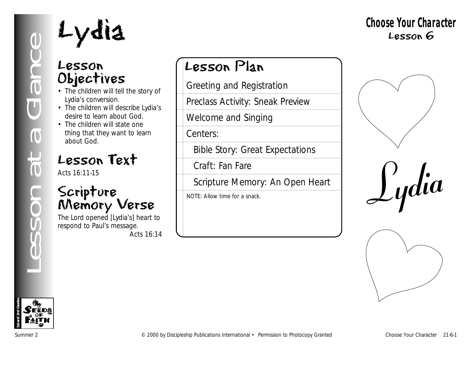### **Choose Your Character** Lesson 6

### Lesson Objectives

- The children will tell the story of Lydia's conversion.
- The children will describe Lydia's desire to learn about God.
- The children will state one thing that they want to learn about God.

## Lesson Text

Acts 16:11-15

## Scripture Memory Verse

The Lord opened [Lydia's] heart to respond to Paul's message. *Acts 16:14*

## Lesson Plan

Greeting and Registration

Preclass Activity: Sneak Preview

Welcome and Singing

Centers:

Bible Story: Great Expectations

Craft: Fan Fare

Scripture Memory: An Open Heart



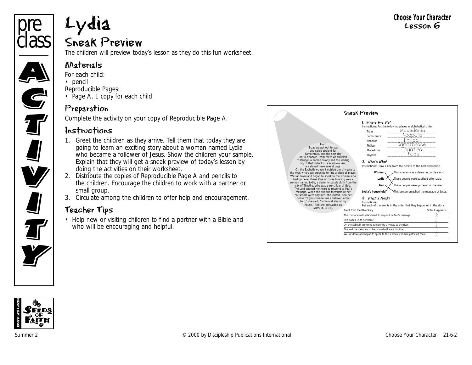

# Lydia

### Sneak Preview

The children will preview today's lesson as they do this fun worksheet.

### Materials

- *For each child:*
- pencil
- *Reproducible Pages:*
- Page A, 1 copy for each child

### Preparation

Complete the activity on your copy of Reproducible Page A.

### Instructions

- 1. Greet the children as they arrive. Tell them that today they are going to learn an exciting story about a woman named Lydia who became a follower of Jesus. Show the children your sample. Explain that they will get a sneak preview of today's lesson by doing the activities on their worksheet.
- 2. Distribute the copies of Reproducible Page A and pencils to the children. Encourage the children to work with a partner or small group.
- 3. Circulate among the children to offer help and encouragement.

### Teacher Tips

• Help new or visiting children to find a partner with a Bible and who will be encouraging and helpful.



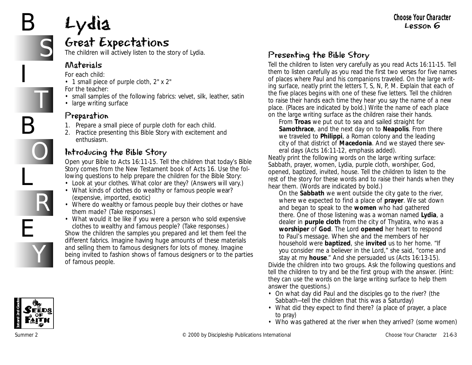# B

I

B

L

E

S

T

O

R

Y

# Lydia

## Great Expectations

The children will actively listen to the story of Lydia.

### Materials

*For each child:*

- 1 small piece of purple cloth, 2" x 2"
- *For the teacher:*
- small samples of the following fabrics: velvet, silk, leather, satin
- large writing surface

### Preparation

- 1. Prepare a small piece of purple cloth for each child.
- 2. Practice presenting this Bible Story with excitement and enthusiasm.

### Introducing the Bible Story

Open your Bible to Acts 16:11-15. Tell the children that today's Bible Story comes from the New Testament book of Acts 16. Use the following questions to help prepare the children for the Bible Story:

- Look at your clothes. What color are they? (Answers will vary.)
- *What kinds of clothes do wealthy or famous people wear?* (expensive, imported, exotic)
- *Where do wealthy or famous people buy their clothes or have them made?* (Take responses.)
- *What would it be like if you were a person who sold expensive clothes to wealthy and famous people?* (Take responses.) Show the children the samples you prepared and let them feel the different fabrics. *Imagine having huge amounts of these materials and selling them to famous designers for lots of money. Imagine being invited to fashion shows of famous designers or to the parties of famous people.*

### Presenting the Bible Story

Tell the children to listen very carefully as you read Acts 16:11-15. Tell them to listen carefully as you read the first two verses for five names of places where Paul and his companions traveled. On the large writing surface, neatly print the letters T, S, N, P, M. Explain that each of the five places begins with one of these five letters. Tell the children to raise their hands each time they hear you say the name of a new place. (Places are indicated by bold.) Write the name of each place on the large writing surface as the children raise their hands.

*From Troas we put out to sea and sailed straight for Samothrace, and the next day on to Neapolis. From there we traveled to Philippi, a Roman colony and the leading city of that district of Macedonia. And we stayed there several days* (Acts 16:11-12, emphasis added)*.*

Neatly print the following words on the large writing surface: Sabbath, prayer, women, Lydia, purple cloth, worshiper, God, opened, baptized, invited, house. Tell the children to listen to the rest of the story for these words and to raise their hands when they hear them. (Words are indicated by bold.)

*On the Sabbath we went outside the city gate to the river, where we expected to find a place of prayer. We sat down and began to speak to the women who had gathered there. One of those listening was a woman named Lydia, a dealer in purple cloth from the city of Thyatira, who was a worshiper of God. The Lord opened her heart to respond to Paul's message. When she and the members of her household were baptized, she invited us to her home. "If you consider me a believer in the Lord," she said, "come and stay at my house." And she persuaded us* (Acts 16:13-15).

Divide the children into two groups. Ask the following questions and tell the children to try and be the first group with the answer. (Hint: they can use the words on the large writing surface to help them answer the questions.)

- *On what day did Paul and the disciples go to the river?* (the Sabbath—tell the children that this was a Saturday)
- *What did they expect to find there?* (a place of prayer, a place to pray)
- Who was gathered at the river when they arrived? (some women)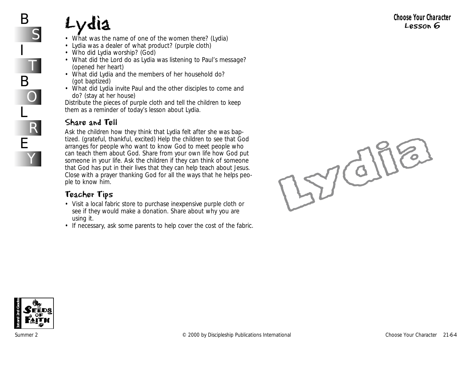

# Lydia

- *What was the name of one of the women there?* (Lydia)
- *Lydia was a dealer of what product?* (purple cloth)
- *Who did Lydia worship?* (God)
- *What did the Lord do as Lydia was listening to Paul's message?* (opened her heart)
- *What did Lydia and the members of her household do?*  (got baptized)
- *What did Lydia invite Paul and the other disciples to come and do?* (stay at her house)

Distribute the pieces of purple cloth and tell the children to keep them as a reminder of today's lesson about Lydia.

### Share and Tell

Ask the children how they think that Lydia felt after she was baptized. (grateful, thankful, excited) Help the children to see that God arranges for people who want to know God to meet people who can teach them about God. Share from your own life how God put someone in your life. Ask the children if they can think of someone that God has put in their lives that they can help teach about Jesus. Close with a prayer thanking God for all the ways that he helps people to know him.

### Teacher Tips

- Visit a local fabric store to purchase inexpensive purple cloth or see if they would make a donation. Share about why you are using it.
- If necessary, ask some parents to help cover the cost of the fabric.



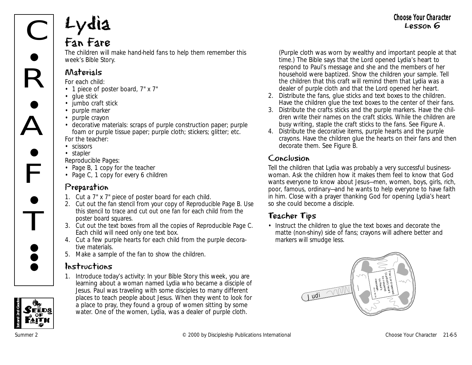

# Lydia

 $\overline{\overline{\text{C}}}$ 

 $\mathsf{R}$ 

 $\bullet$ 

A

 $\bullet$ 

 $\mathsf{F}$ 

**•** 

<del>i</del><br>T

**• e** 

 $\bullet$ 

### Fan Fare

The children will make hand-held fans to help them remember this week's Bible Story.

### Materials

*For each child:*

- 1 piece of poster board, 7" x 7"
- glue stick
- jumbo craft stick
- purple marker
- purple crayon
- decorative materials: scraps of purple construction paper; purple foam or purple tissue paper; purple cloth; stickers; glitter; etc. *For the teacher:*
- scissors
- stapler

*Reproducible Pages:*

- Page B, 1 copy for the teacher
- Page C, 1 copy for every 6 children

### Preparation

- 1. Cut a 7" x 7" piece of poster board for each child.
- 2. Cut out the fan stencil from your copy of Reproducible Page B. Use this stencil to trace and cut out one fan for each child from the poster board squares.
- 3. Cut out the text boxes from all the copies of Reproducible Page C. Each child will need only one text box.
- 4. Cut a few purple hearts for each child from the purple decorative materials.
- 5. Make a sample of the fan to show the children.

### Instructions

1. Introduce today's activity: *In your Bible Story this week, you are learning about a woman named Lydia who became a disciple of Jesus. Paul was traveling with some disciples to many different places to teach people about Jesus. When they went to look for a place to pray, they found a group of women sitting by some water. One of the women, Lydia, was a dealer of purple cloth.* b. Wake a sample of the fan to show the children.<br> **hstructions**<br>
1. Introduce today's activity: In your Bible Story this week, you are<br>
learning about a woman named Lydia who became a disciple of<br>
Jesus. Paul was travelin

*(Purple cloth was worn by wealthy and important people at that time.) The Bible says that the Lord opened Lydia's heart to respond to Paul's message and she and the members of her household were baptized.* Show the children your sample. Tell the children that this craft will remind them that Lydia was a dealer of purple cloth and that the Lord opened her heart.

- 2. Distribute the fans, glue sticks and text boxes to the children. Have the children glue the text boxes to the center of their fans.
- 3. Distribute the crafts sticks and the purple markers. Have the children write their names on the craft sticks. While the children are busy writing, staple the craft sticks to the fans. See Figure A.
- 4. Distribute the decorative items, purple hearts and the purple crayons. Have the children glue the hearts on their fans and then decorate them. See Figure B.

### Conclusion

Tell the children that Lydia was probably a very successful businesswoman. Ask the children how it makes them feel to know that God wants everyone to know about Jesus—men, women, boys, girls, rich, poor, famous, ordinary—and he wants to help everyone to have faith in him. Close with a prayer thanking God for opening Lydia's heart so she could become a disciple.

### Teacher Tips

• Instruct the children to glue the text boxes and decorate the matte (non-shiny) side of fans; crayons will adhere better and markers will smudge less.



**1st and 2nd Grades**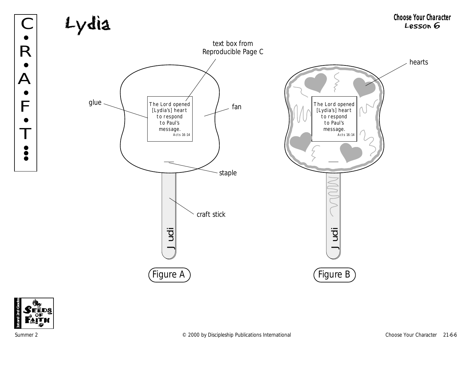



R

•

•

 $\overline{\mathsf{A}}$ 

 $\bullet$ 

F

•

T

•<br>• **; •** 

Summer 2 Choose Your Character 21-6-6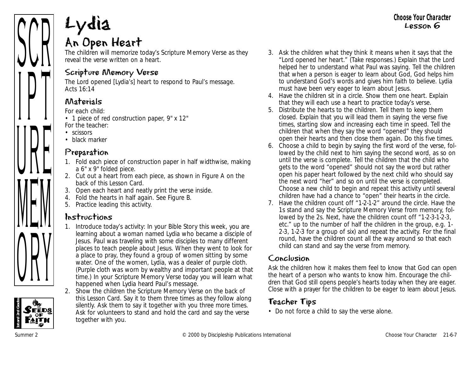

# Lydia

### An Open Heart

The children will memorize today's Scripture Memory Verse as they reveal the verse written on a heart.

### Scripture Memory Verse

The Lord opened [Lydia's] heart to respond to Paul's message. *Acts 16:14*

### Materials

*For each child:*

- 1 piece of red construction paper, 9" x 12" *For the teacher:*
- scissors
- black marker

### Preparation

- 1. Fold each piece of construction paper in half widthwise, making a 6" x 9" folded piece.
- 2. Cut out a heart from each piece, as shown in Figure A on the back of this Lesson Card.
- 3. Open each heart and neatly print the verse inside.
- 4. Fold the hearts in half again. See Figure B.
- 5. Practice leading this activity.

### Instructions



ANII

 $\prod$ 

- 1. Introduce today's activity: *In your Bible Story this week, you are learning about a woman named Lydia who became a disciple of Jesus. Paul was traveling with some disciples to many different places to teach people about Jesus. When they went to look for a place to pray, they found a group of women sitting by some water. One of the women, Lydia, was a dealer of purple cloth. (Purple cloth was worn by wealthy and important people at that time.) In your Scripture Memory Verse today you will learn what happened when Lydia heard Paul's message*.
- 2. Show the children the Scripture Memory Verse on the back of this Lesson Card. Say it to them three times as they follow along silently. Ask them to say it together with you three more times. Ask for volunteers to stand and hold the card and say the verse together with you.
- 3. Ask the children what they think it means when it says that the "Lord opened her heart." (Take responses.) Explain that the Lord helped her to understand what Paul was saying. Tell the children that when a person is eager to learn about God, God helps him to understand God's words and gives him faith to believe. Lydia must have been very eager to learn about Jesus.
- 4. Have the children sit in a circle. Show them one heart. Explain that they will each use a heart to practice today's verse.
- 5. Distribute the hearts to the children. Tell them to keep them closed. Explain that you will lead them in saying the verse five times, starting slow and increasing each time in speed. Tell the children that when they say the word "opened" they should open their hearts and then close them again. Do this five times.
- 6. Choose a child to begin by saying the first word of the verse, followed by the child next to him saying the second word, as so on until the verse is complete. Tell the children that the child who gets to the word "opened" should not say the word but rather open his paper heart followed by the next child who should say the next word "her" and so on until the verse is completed. Choose a new child to begin and repeat this activity until several children have had a chance to "open" their hearts in the circle.
- 7. Have the children count off "1-2-1-2" around the circle. Have the 1s stand and say the Scripture Memory Verse from memory, followed by the 2s. Next, have the children count off "1-2-3-1-2-3, etc." up to the number of half the children in the group, e.g. 1- 2-3, 1-2-3 for a group of six) and repeat the activity. For the final round, have the children count all the way around so that each child can stand and say the verse from memory.

### Conclusion

Ask the children how it makes them feel to know that God can open the heart of a person who wants to know him. Encourage the children that God still opens people's hearts today when they are eager. Close with a prayer for the children to be eager to learn about Jesus.

### Teacher Tips

• Do not force a child to say the verse alone.

**1st and 2nd Grades**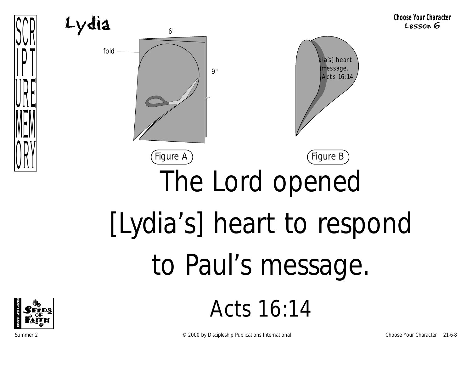

Summer 2 © 2000 by Discipleship Publications International Choose Your Character 21-6-8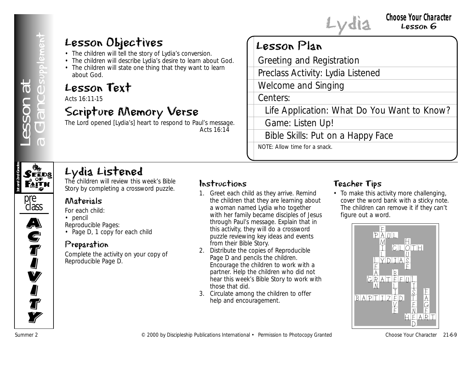

- The children will tell the story of Lydia's conversion.
- The children will describe Lydia's desire to learn about God.
- The children will state one thing that they want to learn about God.

### Lesson Text

Acts 16:11-15

### Scripture Memory Verse

The Lord opened [Lydia's] heart to respond to Paul's message. *Acts 16:14*

### Lesson Plan

Greeting and Registration

Preclass Activity: Lydia Listened

Welcome and Singing

Centers:

Life Application: What Do You Want to Know?

Lydia

Game: Listen Up!

Bible Skills: Put on a Happy Face

NOTE: Allow time for a snack.



### Lydia Listened

The children will review this week's Bible Story by completing a crossword puzzle.



**J**<br>T

**Ty** 

### Materials

*For each child:*

• pencil

*Reproducible Pages:*

• Page D, 1 copy for each child

### Preparation

Complete the activity on your copy of Reproducible Page D.

### Instructions

- 1. Greet each child as they arrive. Remind the children that they are learning about a woman named Lydia who together with her family became disciples of Jesus through Paul's message. Explain that in this activity, they will do a crossword puzzle reviewing key ideas and events from their Bible Story.
- 2. Distribute the copies of Reproducible Page D and pencils the children. Encourage the children to work with a partner. Help the children who did not hear this week's Bible Story to work with those that did.
- 3. Circulate among the children to offer help and encouragement.

### Teacher Tips

• To make this activity more challenging, cover the word bank with a sticky note. The children can remove it if they can't figure out a word.

**Choose Your Character** Lesson 6

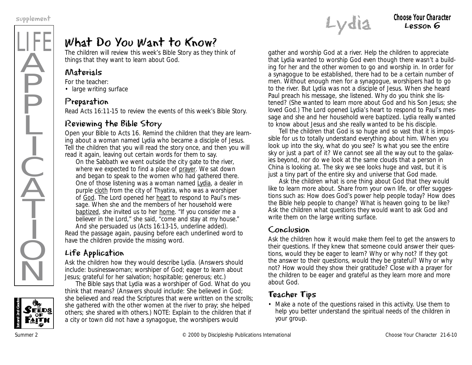

### What Do You Want to Know?

The children will review this week's Bible Story as they think of things that they want to learn about God.

### Materials

*For the teacher:* • large writing surface

#### Preparation

Read Acts 16:11-15 to review the events of this week's Bible Story.

### Reviewing the Bible Story

Open your Bible to Acts 16. Remind the children that they are learning about a woman named Lydia who became a disciple of Jesus. Tell the children that you will read the story once, and then you will read it again, leaving out certain words for them to say.

*On the Sabbath we went outside the city gate to the river, where we expected to find a place of prayer. We sat down and began to speak to the women who had gathered there. One of those listening was a woman named Lydia, a dealer in purple cloth from the city of Thyatira, who was a worshiper of God. The Lord opened her heart to respond to Paul's message. When she and the members of her household were baptized, she invited us to her home. "If you consider me a believer in the Lord," she said, "come and stay at my house." And she persuaded us* (Acts 16:13-15, underline added). Read the passage again, pausing before each underlined word to have the children provide the missing word.

### Life Application

Ask the children how they would describe Lydia. (Answers should include: businesswoman; worshiper of God; eager to learn about Jesus; grateful for her salvation; hospitable; generous; etc.)

*The Bible says that Lydia was a worshiper of God. What do you think that means?* (Answers should include: She believed in God; she believed and read the Scriptures that were written on the scrolls; she gathered with the other women at the river to pray; she helped others; she shared with others.) NOTE: Explain to the children that if a city or town did not have a synagogue, the worshipers would

Lydia supplement **Choose Your Character**

## Lesson 6

gather and worship God at a river. Help the children to appreciate that Lydia wanted to worship God even though there wasn't a building for her and the other women to go and worship in. In order for a synagogue to be established, there had to be a certain number of men. Without enough men for a synagogue, worshipers had to go to the river. *But Lydia was not a disciple of Jesus. When she heard Paul preach his message, she listened. Why do you think she listened?* (She wanted to learn more about God and his Son Jesus; she loved God.) *The Lord opened Lydia's heart to respond to Paul's message and she and her household were baptized. Lydia really wanted to know about Jesus and she really wanted to be his disciple.* 

Tell the children that God is so huge and so vast that it is impossible for us to totally understand everything about him. *When you look up into the sky, what do you see? Is what you see the entire sky or just a part of it? We cannot see all the way out to the galaxies beyond, nor do we look at the same clouds that a person in China is looking at. The sky we see looks huge and vast, but it is just a tiny part of the entire sky and universe that God made.* 

Ask the children what is one thing about God that they would like to learn more about. Share from your own life, or offer suggestions such as: How does God's power help people today? How does the Bible help people to change? What is heaven going to be like? Ask the children what questions they would want to ask God and write them on the large writing surface.

### Conclusion

Ask the children how it would make them feel to get the answers to their questions. If they knew that someone could answer their questions, would they be eager to learn? Why or why not? If they got the answer to their questions, would they be grateful? Why or why not? How would they show their gratitude? Close with a prayer for the children to be eager and grateful as they learn more and more about God.

### Teacher Tips

• Make a note of the questions raised in this activity. Use them to help you better understand the spiritual needs of the children in your group.

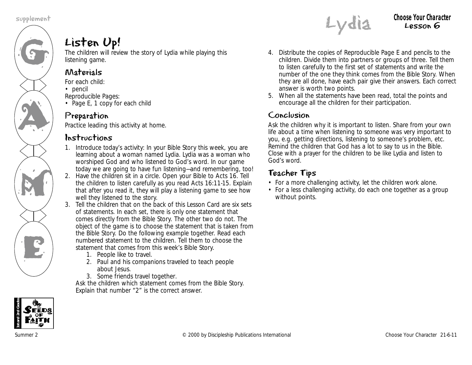

### Listen Up!

The children will review the story of Lydia while playing this listening game.

### Materials

- *For each child:*
- pencil
- *Reproducible Pages:*
- Page E, 1 copy for each child

### Preparation

Practice leading this activity at home.

### Instructions

- 1. Introduce today's activity: *In your Bible Story this week, you are learning about a woman named Lydia. Lydia was a woman who worshiped God and who listened to God's word. In our game today we are going to have fun listening—and remembering, too!*
- 2. Have the children sit in a circle. Open your Bible to Acts 16. Tell the children to listen carefully as you read Acts 16:11-15. Explain that after you read it, they will play a listening game to see how well they listened to the story.
- 3. Tell the children that on the back of this Lesson Card are six sets of statements. In each set, there is only one statement that comes directly from the Bible Story. The other two do not. The object of the game is to choose the statement that is taken from the Bible Story. Do the following example together. Read each numbered statement to the children. Tell them to choose the statement that comes from this week's Bible Story.
	- 1. *People like to travel.*
	- 2. *Paul and his companions traveled to teach people about Jesus*.
	- 3. *Some friends travel together*.

Ask the children which statement comes from the Bible Story. Explain that number "2" is the correct answer.

4. Distribute the copies of Reproducible Page E and pencils to the children. Divide them into partners or groups of three. Tell them to listen carefully to the first set of statements and write the number of the one they think comes from the Bible Story. When they are all done, have each pair give their answers. Each correct answer is worth two points.

Lydia

5. When all the statements have been read, total the points and encourage all the children for their participation.

### Conclusion

Ask the children why it is important to listen. Share from your own life about a time when listening to someone was very important to you, e.g. getting directions, listening to someone's problem, etc. Remind the children that God has a lot to say to us in the Bible. Close with a prayer for the children to be like Lydia and listen to God's word.

### Teacher Tips

- For a more challenging activity, let the children work alone.
- For a less challenging activity, do each one together as a group without points.



Lesson 6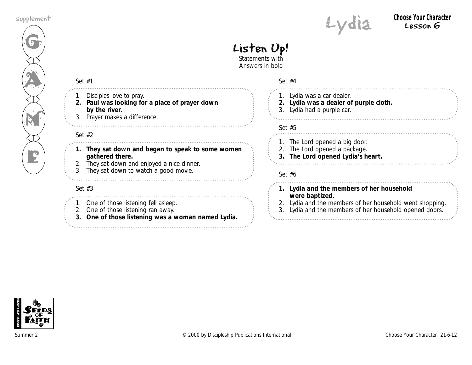

Lydia supplement **Choose Your Character**

Lesson 6

Listen Up!

Statements with Answers in bold

#### Set #1 Set #4 1. Disciples love to pray. 1. Lydia was a car dealer. **2. Paul was looking for a place of prayer down 2. Lydia was a dealer of purple cloth.** 3. Lydia had a purple car. **by the river.** 3. Prayer makes a difference. Set #5 Set #2 1. The Lord opened a big door. **1. They sat down and began to speak to some women** 2. The Lord opened a package. **gathered there. 3. The Lord opened Lydia's heart.** 2. They sat down and enjoyed a nice dinner. 3. They sat down to watch a good movie. Set #6 **1. Lydia and the members of her household**  Set #3 **were baptized.** 1. One of those listening fell asleep. 2. Lydia and the members of her household went shopping. 2. One of those listening ran away. 3. Lydia and the members of her household opened doors. **3. One of those listening was a woman named Lydia.**

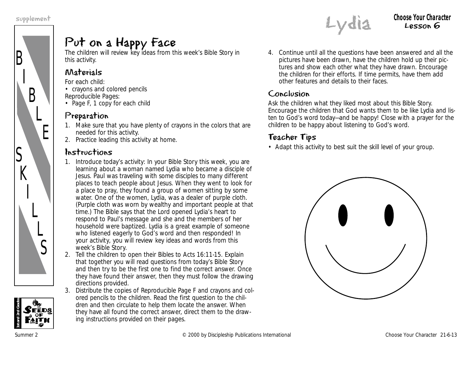supplement **Choose Your Character**



### Put on a Happy Face

The children will review key ideas from this week's Bible Story in this activity.

### Materials

*For each child:*

- crayons and colored pencils *Reproducible Pages:*
- Page F, 1 copy for each child

### Preparation

- 1. Make sure that you have plenty of crayons in the colors that are needed for this activity.
- 2. Practice leading this activity at home.

### Instructions

- 1. Introduce today's activity: *In your Bible Story this week, you are learning about a woman named Lydia who became a disciple of Jesus. Paul was traveling with some disciples to many different places to teach people about Jesus. When they went to look for a place to pray, they found a group of women sitting by some water. One of the women, Lydia, was a dealer of purple cloth. (Purple cloth was worn by wealthy and important people at that time.) The Bible says that the Lord opened Lydia's heart to respond to Paul's message and she and the members of her household were baptized. Lydia is a great example of someone who listened eagerly to God's word and then responded! In your activity, you will review key ideas and words from this week's Bible Story.*
- 2. Tell the children to open their Bibles to Acts 16:11-15. Explain that together you will read questions from today's Bible Story and then try to be the first one to find the correct answer. Once they have found their answer, then they must follow the drawing directions provided.
- 3. Distribute the copies of Reproducible Page F and crayons and colored pencils to the children. Read the first question to the children and then circulate to help them locate the answer. When they have all found the correct answer, direct them to the drawing instructions provided on their pages.

4. Continue until all the questions have been answered and all the pictures have been drawn, have the children hold up their pictures and show each other what they have drawn. Encourage the children for their efforts. If time permits, have them add other features and details to their faces.

Lydia

### Conclusion

Ask the children what they liked most about this Bible Story. Encourage the children that God wants them to be like Lydia and listen to God's word today—and be happy! Close with a prayer for the children to be happy about listening to God's word.

### Teacher Tips

• Adapt this activity to best suit the skill level of your group.





Lesson 6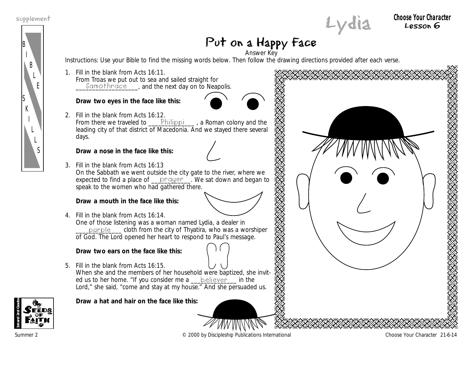L E

B I B

S K

> I L L S

Experience to the choose your unaracter<br> **Choose Your Character**<br>
Choose Your Character<br>
Choose Your Unaracter

## Lesson 6

### Put on a Happy Face

Answer Key

Instructions: Use your Bible to find the missing words below. Then follow the drawing directions provided after each verse.

1. Fill in the blank from Acts 16:11. From Troas we put out to sea and sailed straight for <u>Samothnace</u>, and the next day on to Neapolis.

#### **Draw two eyes in the face like this:**



2. Fill in the blank from Acts 16:12. From there we traveled to <u>Philippi</u>, a Roman colony and the leading city of that district of Macedonia. And we stayed there several days.

#### **Draw a nose in the face like this:**

3. Fill in the blank from Acts 16:13

On the Sabbath we went outside the city gate to the river, where we expected to find a place of <u>gan and engler</u>. We sat down and began to speak to the women who had gathered there.

#### **Draw a mouth in the face like this:**



4. Fill in the blank from Acts 16:14.

One of those listening was a woman named Lydia, a dealer in \_\_\_\_\_\_\_\_\_\_\_\_\_\_ cloth from the city of Thyatira, who was a worshiper of God. The Lord opened her heart to respond to Paul's message. purple

#### **Draw two ears on the face like this:**

5. Fill in the blank from Acts 16:15. When she and the members of her household were baptized, she invited us to her home. "If you consider me a <u>\_\_\_\_believer\_\_\_</u>\_ in the Lord," she said, "come and stay at my house." And she persuaded us.



#### **Draw a hat and hair on the face like this:**

Summer 2 Choose Your Character 21-6-14 Choose Your Character 21-6-14

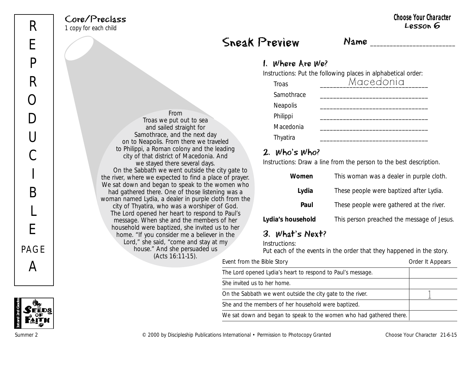#### Core/Preclass 1 copy for each child

**Choose Your Character** Lesson 6

### Sneak Preview

Name

### 1. Where Are We?

Instructions: Put the following places in alphabetical order:

| Troas      | Macedonia |
|------------|-----------|
| Samothrace |           |
| Neapolis   |           |
| Philippi   |           |
| Macedonia  |           |
| Thyatira   |           |

### 2. Who's Who?

Instructions: Draw a line from the person to the best description.

| Women             | This woman was a dealer in purple cloth.   |  |  |
|-------------------|--------------------------------------------|--|--|
| Lydia             | These people were baptized after Lydia.    |  |  |
| Paul              | These people were gathered at the river.   |  |  |
| Lydia's household | This person preached the message of Jesus. |  |  |

### 3. What's Next?

Instructions:

Put each of the events in the order that they happened in the story.

| Event from the Bible Story                                          | Order It Appears |  |
|---------------------------------------------------------------------|------------------|--|
| The Lord opened Lydia's heart to respond to Paul's message.         |                  |  |
| She invited us to her home.                                         |                  |  |
| On the Sabbath we went outside the city gate to the river.          |                  |  |
| She and the members of her household were baptized.                 |                  |  |
| We sat down and began to speak to the women who had gathered there. |                  |  |

#### city of that district of Macedonia. And we stayed there several days. On the Sabbath we went outside the city gate to the river, where we expected to find a place of prayer. We sat down and began to speak to the women who had gathered there. One of those listening was a woman named Lydia, a dealer in purple cloth from the city of Thyatira, who was a worshiper of God. The Lord opened her heart to respond to Paul's message. When she and the members of her household were baptized, she invited us to her home. "If you consider me a believer in the Lord," she said, "come and stay at my house." And she persuaded us

From Troas we put out to sea and sailed straight for Samothrace, and the next day on to Neapolis. From there we traveled to Philippi, a Roman colony and the leading

(Acts 16:11-15).

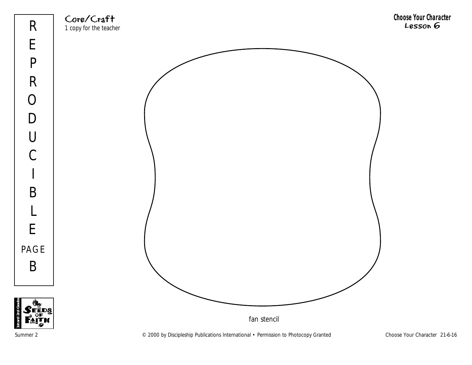**1st and 2nd Grades**

#### Core/Craft 1 copy for the teacher

**Choose Your Character** Lesson 6

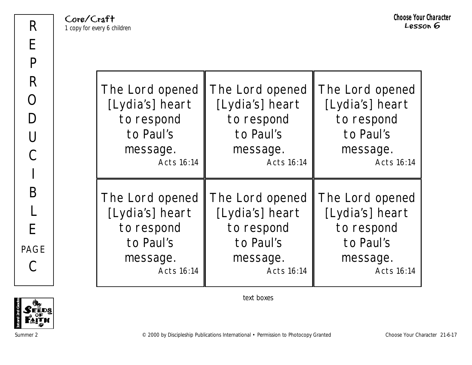Core/Craft 1 copy for every 6 children

| The Lord opened | The Lord opened | The Lord opened |
|-----------------|-----------------|-----------------|
| [Lydia's] heart | [Lydia's] heart | [Lydia's] heart |
| to respond      | to respond      | to respond      |
| to Paul's       | to Paul's       | to Paul's       |
| message.        | message.        | message.        |
| Acts 16:14      | Acts 16:14      | Acts 16:14      |
| The Lord opened | The Lord opened | The Lord opened |
| [Lydia's] heart | [Lydia's] heart | [Lydia's] heart |
| to respond      | to respond      | to respond      |
| to Paul's       | to Paul's       | to Paul's       |
| message.        | message.        | message.        |
| Acts 16:14      | Acts 16:14      | Acts 16:14      |

text boxes

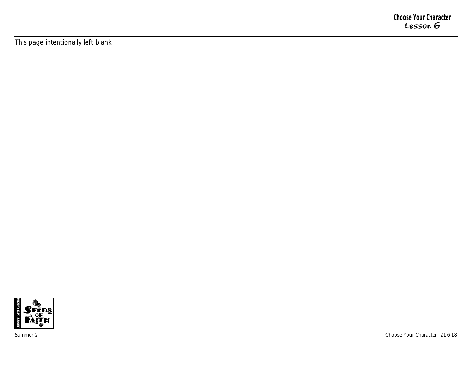This page intentionally left blank



Summer 2 Choose Your Character 21-6-18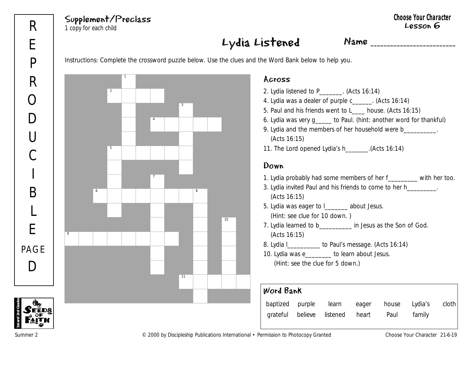### Supplement/Preclass

1 copy for each child

### Lydia Listened Name **\_\_\_\_\_\_\_\_\_\_\_\_\_\_\_\_\_\_\_\_\_\_\_\_\_\_**

Instructions: Complete the crossword puzzle below. Use the clues and the Word Bank below to help you.



### Across

- 2. Lydia listened to P . (Acts 16:14)
- 4. Lydia was a dealer of purple c\_\_\_\_\_\_. (Acts 16:14)
- 5. Paul and his friends went to L\_\_\_\_ house. (Acts 16:15)
- 6. Lydia was very g\_\_\_\_\_ to Paul. (hint: another word for thankful)
- 9. Lydia and the members of her household were b\_\_\_\_\_\_\_\_\_\_. (Acts 16:15)
- 11. The Lord opened Lydia's h\_\_\_\_\_\_\_.(Acts 16:14)

### Down

- 1. Lydia probably had some members of her f\_\_\_\_\_\_\_\_\_ with her too.
- 3. Lydia invited Paul and his friends to come to her h\_\_\_\_\_\_\_\_\_. (Acts 16:15)
- 5. Lydia was eager to l\_\_\_\_\_\_\_ about Jesus. (Hint: see clue for 10 down. )
- 7. Lydia learned to b\_\_\_\_\_\_\_\_\_\_ in Jesus as the Son of God. (Acts 16:15)
- 8. Lydia l\_\_\_\_\_\_\_\_\_\_ to Paul's message. (Acts 16:14)
- 10. Lydia was e\_\_\_\_\_\_\_\_ to learn about Jesus. (Hint: see the clue for 5 down.)

### Word Bank

|  | baptized purple learn eager house Lydia's cloth |  |  |
|--|-------------------------------------------------|--|--|
|  | grateful believe listened heart Paul family     |  |  |

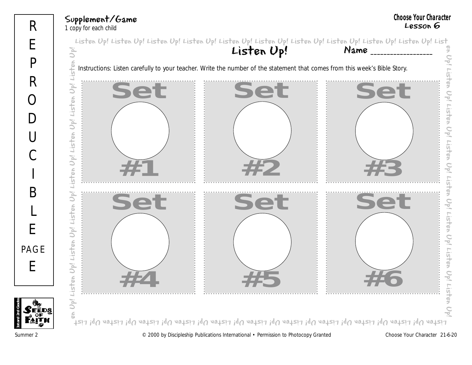

**1st and 2nd Grades**